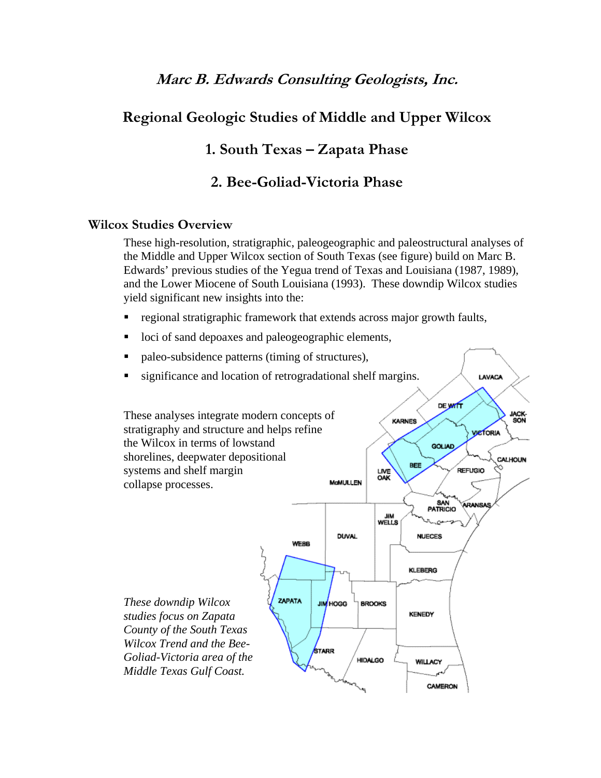# **Marc B. Edwards Consulting Geologists, Inc.**

# **Regional Geologic Studies of Middle and Upper Wilcox**

## **1. South Texas – Zapata Phase**

### **2. Bee-Goliad-Victoria Phase**

#### **Wilcox Studies Overview**

These high-resolution, stratigraphic, paleogeographic and paleostructural analyses of the Middle and Upper Wilcox section of South Texas (see figure) build on Marc B. Edwards' previous studies of the Yegua trend of Texas and Louisiana (1987, 1989), and the Lower Miocene of South Louisiana (1993). These downdip Wilcox studies yield significant new insights into the:

LAVACA

- regional stratigraphic framework that extends across major growth faults,
- loci of sand depoaxes and paleogeographic elements,
- paleo-subsidence patterns (timing of structures),
- significance and location of retrogradational shelf margins.